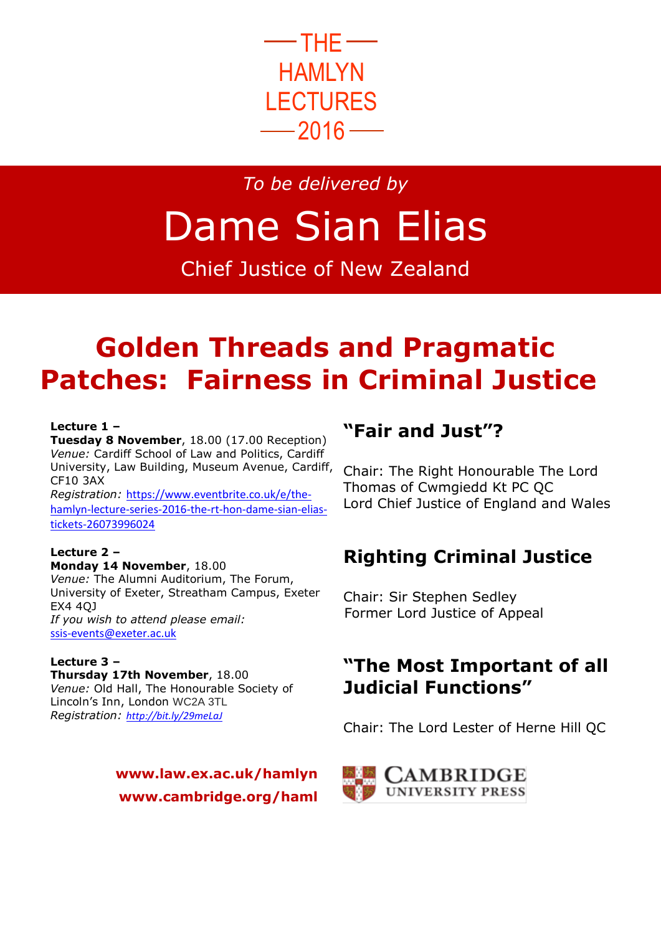

*To be delivered by*

# Dame Sian Elias

Chief Justice of New Zealand

# **Golden Threads and Pragmatic Patches: Fairness in Criminal Justice**

#### **Lecture 1 –**

**Tuesday 8 November**, 18.00 (17.00 Reception) *Venue:* Cardiff School of Law and Politics, Cardiff University, Law Building, Museum Avenue, Cardiff, CF10 3AX *Registration:* [https://www.eventbrite.co.uk/e/the-](https://www.eventbrite.co.uk/e/the-hamlyn-lecture-series-2016-the-rt-hon-dame-sian-elias-tickets-26073996024)

[hamlyn-lecture-series-2016-the-rt-hon-dame-sian-elias](https://www.eventbrite.co.uk/e/the-hamlyn-lecture-series-2016-the-rt-hon-dame-sian-elias-tickets-26073996024)[tickets-26073996024](https://www.eventbrite.co.uk/e/the-hamlyn-lecture-series-2016-the-rt-hon-dame-sian-elias-tickets-26073996024)

#### **Lecture 2 –**

**Monday 14 November**, 18.00 *Venue:* The Alumni Auditorium, The Forum, University of Exeter, Streatham Campus, Exeter EX4 4QJ *If you wish to attend please email:* [ssis-events@exeter.ac.uk](mailto:ssis-events@exeter.ac.uk)

#### **Lecture 3 – Thursday 17th November**, 18.00 *Venue:* Old Hall, The Honourable Society of Lincoln's Inn, London WC2A 3TL *Registration: <http://bit.ly/29meLaJ>*

### **www.law.ex.ac.uk/hamlyn www.cambridge.org/haml**

# **"Fair and Just"?**

Chair: [The Right Honourable](https://en.wikipedia.org/wiki/The_Right_Honourable) The Lord Thomas of Cwmgiedd [Kt](https://en.wikipedia.org/wiki/Knight_Bachelor) [PC](https://en.wikipedia.org/wiki/Privy_Council_of_the_United_Kingdom) [QC](https://en.wikipedia.org/wiki/Queen%27s_Counsel) Lord Chief Justice of England and Wales

# **Righting Criminal Justice**

Chair: Sir Stephen Sedley Former Lord Justice of Appeal

# **"The Most Important of all Judicial Functions"**

Chair: The Lord Lester of Herne Hill QC